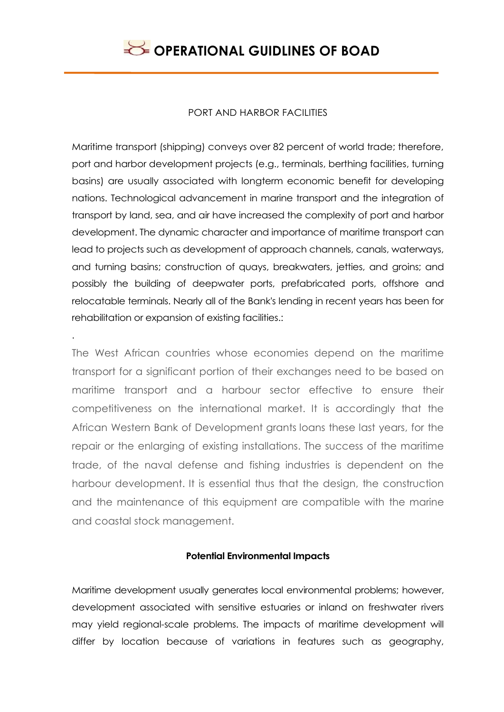#### PORT AND HARBOR FACILITIES

Maritime transport (shipping) conveys over 82 percent of world trade; therefore, port and harbor development projects (e.g., terminals, berthing facilities, turning basins) are usually associated with longterm economic benefit for developing nations. Technological advancement in marine transport and the integration of transport by land, sea, and air have increased the complexity of port and harbor development. The dynamic character and importance of maritime transport can lead to projects such as development of approach channels, canals, waterways, and turning basins; construction of quays, breakwaters, jetties, and groins; and possibly the building of deepwater ports, prefabricated ports, offshore and relocatable terminals. Nearly all of the Bank's lending in recent years has been for rehabilitation or expansion of existing facilities.:

The West African countries whose economies depend on the maritime transport for a significant portion of their exchanges need to be based on maritime transport and a harbour sector effective to ensure their competitiveness on the international market. It is accordingly that the African Western Bank of Development grants loans these last years, for the repair or the enlarging of existing installations. The success of the maritime trade, of the naval defense and fishing industries is dependent on the harbour development. It is essential thus that the design, the construction and the maintenance of this equipment are compatible with the marine and coastal stock management.

.

## **Potential Environmental Impacts**

Maritime development usually generates local environmental problems; however, development associated with sensitive estuaries or inland on freshwater rivers may yield regional-scale problems. The impacts of maritime development will differ by location because of variations in features such as geography,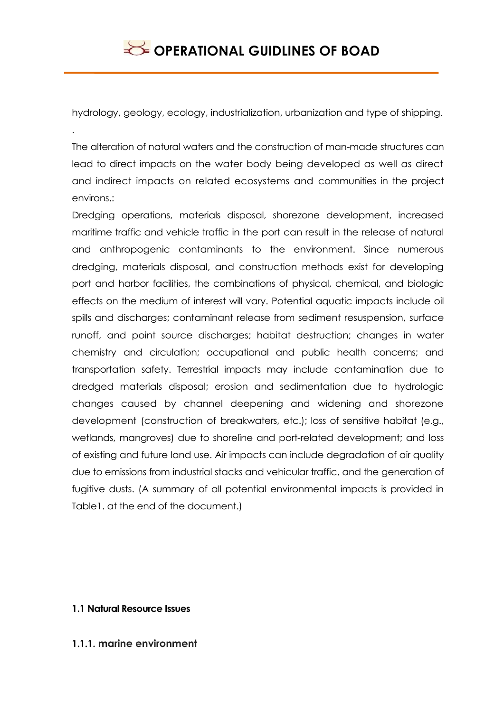hydrology, geology, ecology, industrialization, urbanization and type of shipping.

The alteration of natural waters and the construction of man-made structures can lead to direct impacts on the water body being developed as well as direct and indirect impacts on related ecosystems and communities in the project environs.:

Dredging operations, materials disposal, shorezone development, increased maritime traffic and vehicle traffic in the port can result in the release of natural and anthropogenic contaminants to the environment. Since numerous dredging, materials disposal, and construction methods exist for developing port and harbor facilities, the combinations of physical, chemical, and biologic effects on the medium of interest will vary. Potential aquatic impacts include oil spills and discharges; contaminant release from sediment resuspension, surface runoff, and point source discharges; habitat destruction; changes in water chemistry and circulation; occupational and public health concerns; and transportation safety. Terrestrial impacts may include contamination due to dredged materials disposal; erosion and sedimentation due to hydrologic changes caused by channel deepening and widening and shorezone development (construction of breakwaters, etc.); loss of sensitive habitat (e.g., wetlands, mangroves) due to shoreline and port-related development; and loss of existing and future land use. Air impacts can include degradation of air quality due to emissions from industrial stacks and vehicular traffic, and the generation of fugitive dusts. (A summary of all potential environmental impacts is provided in Table1. at the end of the document.)

## **1.1 Natural Resource Issues**

.

**1.1.1. marine environment**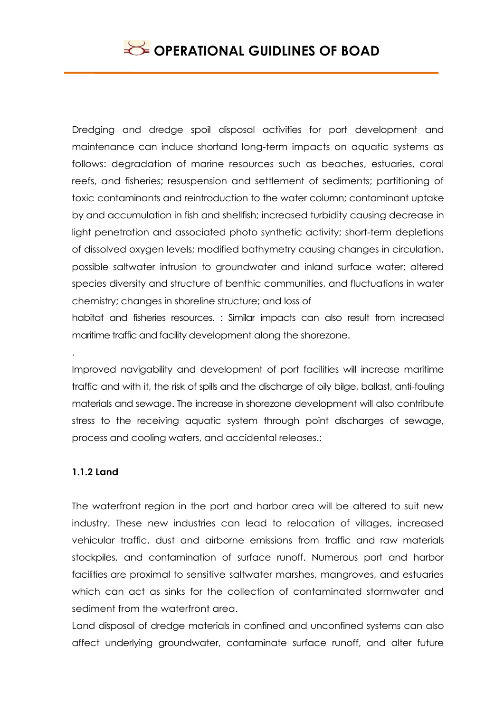Dredging and dredge spoil disposal activities for port development and maintenance can induce shortand long-term impacts on aquatic systems as follows: degradation of marine resources such as beaches, estuaries, coral reefs, and fisheries; resuspension and settlement of sediments; partitioning of toxic contaminants and reintroduction to the water column; contaminant uptake by and accumulation in fish and shellfish; increased turbidity causing decrease in light penetration and associated photo synthetic activity; short-term depletions of dissolved oxygen levels; modified bathymetry causing changes in circulation, possible saltwater intrusion to groundwater and inland surface water; altered species diversity and structure of benthic communities, and fluctuations in water chemistry; changes in shoreline structure; and loss of

habitat and fisheries resources. : Similar impacts can also result from increased maritime traffic and facility development along the shorezone.

Improved navigability and development of port facilities will increase maritime traffic and with it, the risk of spills and the discharge of oily bilge, ballast, anti-fouling materials and sewage. The increase in shorezone development will also contribute stress to the receiving aquatic system through point discharges of sewage, process and cooling waters, and accidental releases.:

## **1.1.2 Land**

.

The waterfront region in the port and harbor area will be altered to suit new industry. These new industries can lead to relocation of villages, increased vehicular traffic, dust and airborne emissions from traffic and raw materials stockpiles, and contamination of surface runoff. Numerous port and harbor facilities are proximal to sensitive saltwater marshes, mangroves, and estuaries which can act as sinks for the collection of contaminated stormwater and sediment from the waterfront area.

Land disposal of dredge materials in confined and unconfined systems can also affect underlying groundwater, contaminate surface runoff, and alter future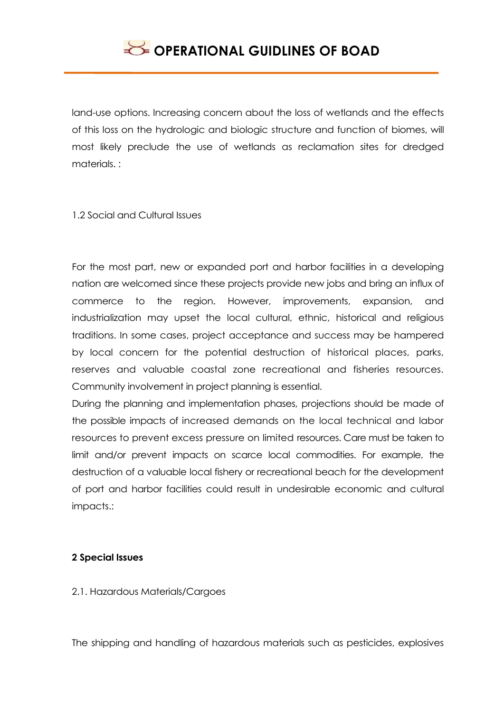land-use options. Increasing concern about the loss of wetlands and the effects of this loss on the hydrologic and biologic structure and function of biomes, will most likely preclude the use of wetlands as reclamation sites for dredged materials. :

1.2 Social and Cultural Issues

For the most part, new or expanded port and harbor facilities in a developing nation are welcomed since these projects provide new jobs and bring an influx of commerce to the region. However, improvements, expansion, and industrialization may upset the local cultural, ethnic, historical and religious traditions. In some cases, project acceptance and success may be hampered by local concern for the potential destruction of historical places, parks, reserves and valuable coastal zone recreational and fisheries resources. Community involvement in project planning is essential.

During the planning and implementation phases, projections should be made of the possible impacts of increased demands on the local technical and labor resources to prevent excess pressure on limited resources. Care must be taken to limit and/or prevent impacts on scarce local commodities. For example, the destruction of a valuable local fishery or recreational beach for the development of port and harbor facilities could result in undesirable economic and cultural impacts.:

## **2 Special Issues**

2.1. Hazardous Materials/Cargoes

The shipping and handling of hazardous materials such as pesticides, explosives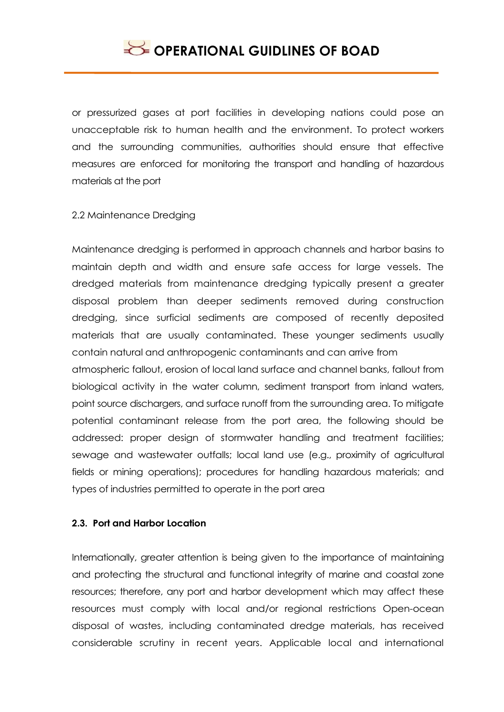or pressurized gases at port facilities in developing nations could pose an unacceptable risk to human health and the environment. To protect workers and the surrounding communities, authorities should ensure that effective measures are enforced for monitoring the transport and handling of hazardous materials at the port

#### 2.2 Maintenance Dredging

Maintenance dredging is performed in approach channels and harbor basins to maintain depth and width and ensure safe access for large vessels. The dredged materials from maintenance dredging typically present a greater disposal problem than deeper sediments removed during construction dredging, since surficial sediments are composed of recently deposited materials that are usually contaminated. These younger sediments usually contain natural and anthropogenic contaminants and can arrive from

atmospheric fallout, erosion of local land surface and channel banks, fallout from biological activity in the water column, sediment transport from inland waters, point source dischargers, and surface runoff from the surrounding area. To mitigate potential contaminant release from the port area, the following should be addressed: proper design of stormwater handling and treatment facilities; sewage and wastewater outfalls; local land use (e.g., proximity of agricultural fields or mining operations); procedures for handling hazardous materials; and types of industries permitted to operate in the port area

#### **2.3. Port and Harbor Location**

Internationally, greater attention is being given to the importance of maintaining and protecting the structural and functional integrity of marine and coastal zone resources; therefore, any port and harbor development which may affect these resources must comply with local and/or regional restrictions Open-ocean disposal of wastes, including contaminated dredge materials, has received considerable scrutiny in recent years. Applicable local and international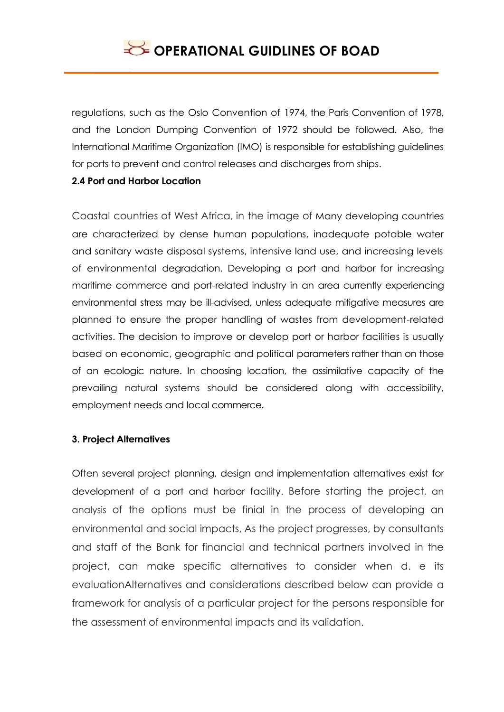regulations, such as the Oslo Convention of 1974, the Paris Convention of 1978, and the London Dumping Convention of 1972 should be followed. Also, the International Maritime Organization (IMO) is responsible for establishing guidelines for ports to prevent and control releases and discharges from ships.

## **2.4 Port and Harbor Location**

Coastal countries of West Africa, in the image of Many developing countries are characterized by dense human populations, inadequate potable water and sanitary waste disposal systems, intensive land use, and increasing levels of environmental degradation. Developing a port and harbor for increasing maritime commerce and port-related industry in an area currently experiencing environmental stress may be ill-advised, unless adequate mitigative measures are planned to ensure the proper handling of wastes from development-related activities. The decision to improve or develop port or harbor facilities is usually based on economic, geographic and political parameters rather than on those of an ecologic nature. In choosing location, the assimilative capacity of the prevailing natural systems should be considered along with accessibility, employment needs and local commerce.

## **3. Project Alternatives**

Often several project planning, design and implementation alternatives exist for development of a port and harbor facility. Before starting the project, an analysis of the options must be finial in the process of developing an environmental and social impacts, As the project progresses, by consultants and staff of the Bank for financial and technical partners involved in the project, can make specific alternatives to consider when d. e its evaluationAlternatives and considerations described below can provide a framework for analysis of a particular project for the persons responsible for the assessment of environmental impacts and its validation.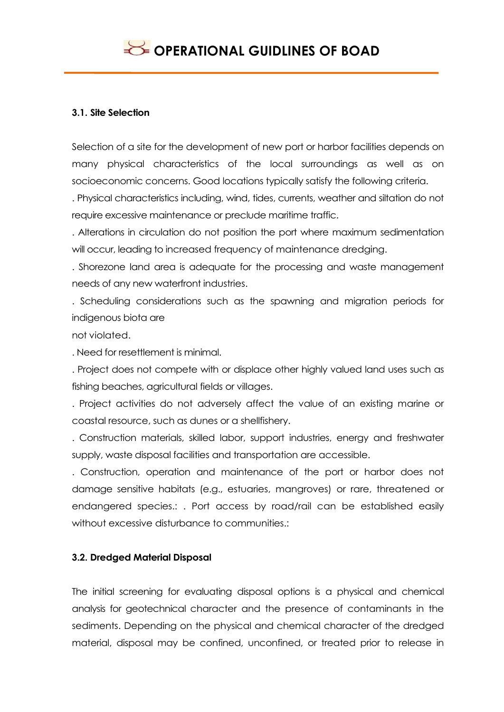#### **3.1. Site Selection**

Selection of a site for the development of new port or harbor facilities depends on many physical characteristics of the local surroundings as well as on socioeconomic concerns. Good locations typically satisfy the following criteria.

. Physical characteristics including, wind, tides, currents, weather and siltation do not require excessive maintenance or preclude maritime traffic.

. Alterations in circulation do not position the port where maximum sedimentation will occur, leading to increased frequency of maintenance dredging.

. Shorezone land area is adequate for the processing and waste management needs of any new waterfront industries.

. Scheduling considerations such as the spawning and migration periods for indigenous biota are

not violated.

. Need for resettlement is minimal.

. Project does not compete with or displace other highly valued land uses such as fishing beaches, agricultural fields or villages.

. Project activities do not adversely affect the value of an existing marine or coastal resource, such as dunes or a shellfishery.

. Construction materials, skilled labor, support industries, energy and freshwater supply, waste disposal facilities and transportation are accessible.

. Construction, operation and maintenance of the port or harbor does not damage sensitive habitats (e.g., estuaries, mangroves) or rare, threatened or endangered species.: . Port access by road/rail can be established easily without excessive disturbance to communities.:

## **3.2. Dredged Material Disposal**

The initial screening for evaluating disposal options is a physical and chemical analysis for geotechnical character and the presence of contaminants in the sediments. Depending on the physical and chemical character of the dredged material, disposal may be confined, unconfined, or treated prior to release in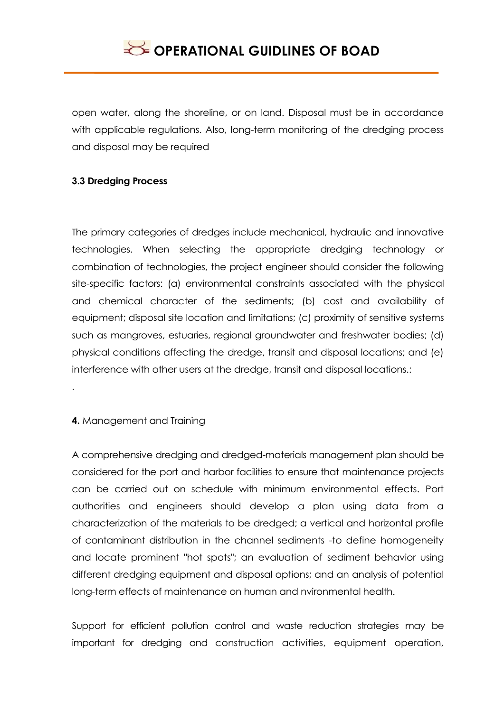open water, along the shoreline, or on land. Disposal must be in accordance with applicable regulations. Also, long-term monitoring of the dredging process and disposal may be required

## **3.3 Dredging Process**

The primary categories of dredges include mechanical, hydraulic and innovative technologies. When selecting the appropriate dredging technology or combination of technologies, the project engineer should consider the following site-specific factors: (a) environmental constraints associated with the physical and chemical character of the sediments; (b) cost and availability of equipment; disposal site location and limitations; (c) proximity of sensitive systems such as mangroves, estuaries, regional groundwater and freshwater bodies; (d) physical conditions affecting the dredge, transit and disposal locations; and (e) interference with other users at the dredge, transit and disposal locations.:

## **4.** Management and Training

.

A comprehensive dredging and dredged-materials management plan should be considered for the port and harbor facilities to ensure that maintenance projects can be carried out on schedule with minimum environmental effects. Port authorities and engineers should develop a plan using data from a characterization of the materials to be dredged; a vertical and horizontal profile of contaminant distribution in the channel sediments -to define homogeneity and locate prominent "hot spots"; an evaluation of sediment behavior using different dredging equipment and disposal options; and an analysis of potential long-term effects of maintenance on human and nvironmental health.

Support for efficient pollution control and waste reduction strategies may be important for dredging and construction activities, equipment operation,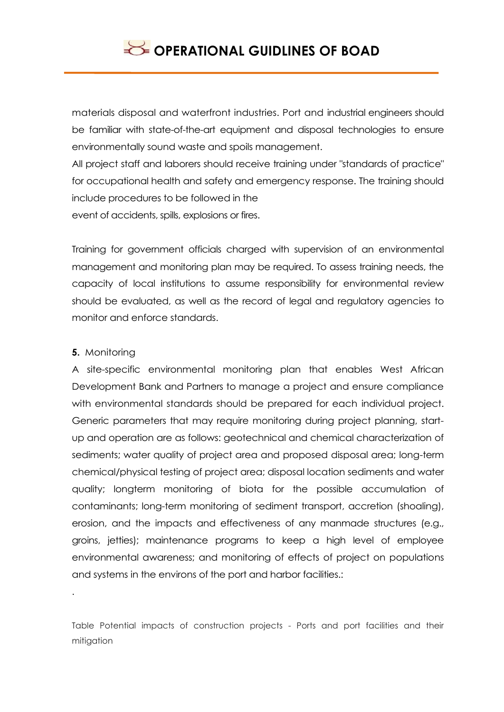materials disposal and waterfront industries. Port and industrial engineers should be familiar with state-of-the-art equipment and disposal technologies to ensure environmentally sound waste and spoils management.

All project staff and laborers should receive training under "standards of practice" for occupational health and safety and emergency response. The training should include procedures to be followed in the event of accidents, spills, explosions or fires.

Training for government officials charged with supervision of an environmental management and monitoring plan may be required. To assess training needs, the capacity of local institutions to assume responsibility for environmental review should be evaluated, as well as the record of legal and regulatory agencies to monitor and enforce standards.

## **5.** Monitoring

.

A site-specific environmental monitoring plan that enables West African Development Bank and Partners to manage a project and ensure compliance with environmental standards should be prepared for each individual project. Generic parameters that may require monitoring during project planning, startup and operation are as follows: geotechnical and chemical characterization of sediments; water quality of project area and proposed disposal area; long-term chemical/physical testing of project area; disposal location sediments and water quality; longterm monitoring of biota for the possible accumulation of contaminants; long-term monitoring of sediment transport, accretion (shoaling), erosion, and the impacts and effectiveness of any manmade structures (e.g., groins, jetties); maintenance programs to keep a high level of employee environmental awareness; and monitoring of effects of project on populations and systems in the environs of the port and harbor facilities.:

Table Potential impacts of construction projects - Ports and port facilities and their mitigation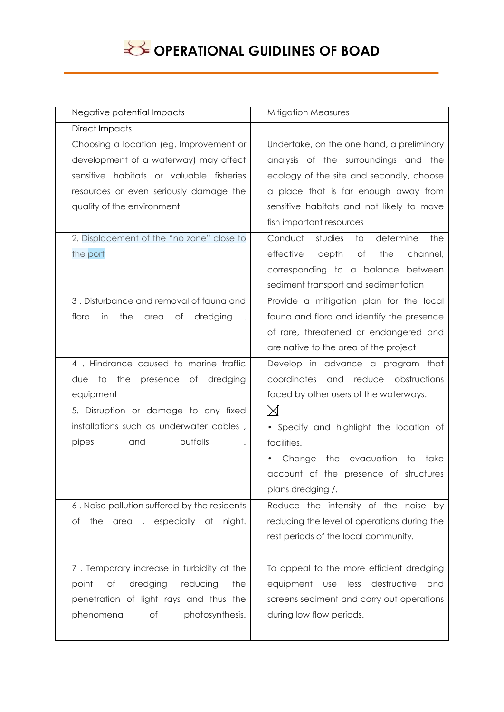# **OPERATIONAL GUIDLINES OF BOAD**

| Negative potential Impacts                   | <b>Mitigation Measures</b>                                   |
|----------------------------------------------|--------------------------------------------------------------|
| <b>Direct Impacts</b>                        |                                                              |
| Choosing a location (eg. Improvement or      | Undertake, on the one hand, a preliminary                    |
| development of a waterway) may affect        | analysis of the surroundings and the                         |
| sensitive habitats or valuable fisheries     | ecology of the site and secondly, choose                     |
| resources or even seriously damage the       | a place that is far enough away from                         |
| quality of the environment                   | sensitive habitats and not likely to move                    |
|                                              | fish important resources                                     |
| 2. Displacement of the "no zone" close to    | determine<br>Conduct<br>studies<br>$\overline{\circ}$<br>the |
| the port                                     | effective<br>depth<br>of<br>the<br>channel,                  |
|                                              | corresponding to a balance between                           |
|                                              | sediment transport and sedimentation                         |
| 3. Disturbance and removal of fauna and      | Provide a mitigation plan for the local                      |
| flora<br>the<br>in<br>Оf<br>dredging<br>area | fauna and flora and identify the presence                    |
|                                              | of rare, threatened or endangered and                        |
|                                              | are native to the area of the project                        |
| 4. Hindrance caused to marine traffic        | Develop in advance a program that                            |
| the<br>presence of<br>dredging<br>due<br>to  | reduce<br>obstructions<br>coordinates<br>and                 |
| equipment                                    | faced by other users of the waterways.                       |
| 5. Disruption or damage to any fixed         | $\bowtie$                                                    |
| installations such as underwater cables,     | • Specify and highlight the location of                      |
| outfalls<br>pipes<br>and                     | facilities.                                                  |
|                                              | the evacuation<br>Change<br>to<br>take                       |
|                                              | account of the presence of structures                        |
|                                              | plans dredging /.                                            |
| 6. Noise pollution suffered by the residents | Reduce the intensity of the noise by                         |
| the area , especially at<br>night.<br>Оf     | reducing the level of operations during the                  |
|                                              | rest periods of the local community.                         |
|                                              |                                                              |
| 7. Temporary increase in turbidity at the    | To appeal to the more efficient dredging                     |
| dredging<br>reducing<br>point<br>of<br>the   | less destructive<br>equipment<br>use<br>and                  |
| penetration of light rays and thus the       | screens sediment and carry out operations                    |
| phenomena<br>photosynthesis.<br>Оf           | during low flow periods.                                     |
|                                              |                                                              |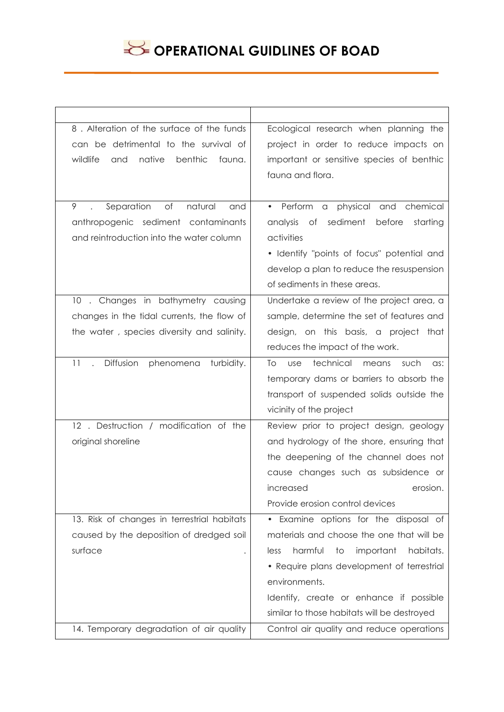

| 8. Alteration of the surface of the funds      | Ecological research when planning the                         |
|------------------------------------------------|---------------------------------------------------------------|
| can be detrimental to the survival of          | project in order to reduce impacts on                         |
| wildlife<br>native<br>benthic<br>and<br>fauna. | important or sensitive species of benthic                     |
|                                                | fauna and flora.                                              |
|                                                |                                                               |
| 9<br>Separation<br>of<br>natural<br>and        | • Perform<br>a physical and chemical                          |
| anthropogenic sediment contaminants            | sediment<br>Оf<br>before<br>starting<br>analysis              |
| and reintroduction into the water column       | activities                                                    |
|                                                | • Identify "points of focus" potential and                    |
|                                                | develop a plan to reduce the resuspension                     |
|                                                | of sediments in these areas.                                  |
| 10. Changes in bathymetry causing              | Undertake a review of the project area, a                     |
| changes in the tidal currents, the flow of     | sample, determine the set of features and                     |
| the water, species diversity and salinity.     | design, on this basis, a project that                         |
|                                                | reduces the impact of the work.                               |
| Diffusion<br>turbidity.<br>11<br>phenomena     | technical<br>To<br>such<br><b>use</b><br>means<br>$\alpha$ s: |
|                                                | temporary dams or barriers to absorb the                      |
|                                                | transport of suspended solids outside the                     |
|                                                | vicinity of the project                                       |
| 12. Destruction / modification of the          | Review prior to project design, geology                       |
| original shoreline                             | and hydrology of the shore, ensuring that                     |
|                                                | the deepening of the channel does not                         |
|                                                | cause changes such as subsidence or                           |
|                                                | increased<br>erosion.                                         |
|                                                | Provide erosion control devices                               |
| 13. Risk of changes in terrestrial habitats    | • Examine options for the disposal of                         |
| caused by the deposition of dredged soil       | materials and choose the one that will be                     |
| surface<br>$\bullet$                           | harmful<br>important<br>habitats.<br>to<br>less               |
|                                                | • Require plans development of terrestrial                    |
|                                                | environments.                                                 |
|                                                | Identify, create or enhance if possible                       |
|                                                | similar to those habitats will be destroyed                   |
| 14. Temporary degradation of air quality       | Control air quality and reduce operations                     |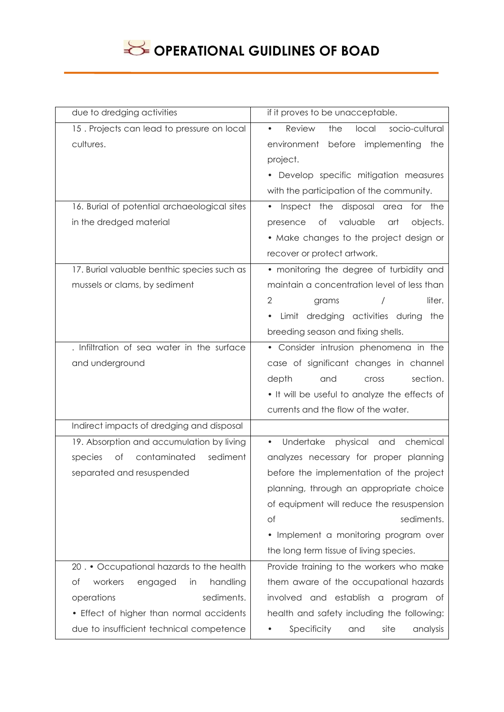# **OPERATIONAL GUIDLINES OF BOAD**

| due to dredging activities                   | if it proves to be unacceptable.                      |
|----------------------------------------------|-------------------------------------------------------|
| 15. Projects can lead to pressure on local   | Review<br>local<br>socio-cultural<br>the<br>$\bullet$ |
| cultures.                                    | before implementing the<br>environment                |
|                                              | project.                                              |
|                                              | • Develop specific mitigation measures                |
|                                              | with the participation of the community.              |
| 16. Burial of potential archaeological sites | Inspect the disposal area<br>for the<br>$\bullet$     |
| in the dredged material                      | valuable<br>Оf<br>objects.<br>presence<br>art         |
|                                              | • Make changes to the project design or               |
|                                              | recover or protect artwork.                           |
| 17. Burial valuable benthic species such as  | • monitoring the degree of turbidity and              |
| mussels or clams, by sediment                | maintain a concentration level of less than           |
|                                              | 2<br>liter.<br>$\prime$<br>grams                      |
|                                              | Limit dredging activities during the<br>$\bullet$     |
|                                              | breeding season and fixing shells.                    |
| . Infiltration of sea water in the surface   | • Consider intrusion phenomena in the                 |
| and underground                              | case of significant changes in channel                |
|                                              | depth<br>section.<br>and<br><b>Cross</b>              |
|                                              | . It will be useful to analyze the effects of         |
|                                              | currents and the flow of the water.                   |
| Indirect impacts of dredging and disposal    |                                                       |
| 19. Absorption and accumulation by living    | chemical<br>Undertake<br>physical<br>and<br>$\bullet$ |
| contaminated<br>sediment<br>Оf<br>species    | analyzes necessary for proper planning                |
| separated and resuspended                    | before the implementation of the project              |
|                                              | planning, through an appropriate choice               |
|                                              | of equipment will reduce the resuspension             |
|                                              | sediments.<br>of                                      |
|                                              | • Implement a monitoring program over                 |
|                                              | the long term tissue of living species.               |
| 20. • Occupational hazards to the health     | Provide training to the workers who make              |
| of<br>workers<br>handling<br>engaged<br>in   | them aware of the occupational hazards                |
| sediments.<br>operations                     | involved and establish a program of                   |
| • Effect of higher than normal accidents     | health and safety including the following:            |
| due to insufficient technical competence     | Specificity<br>and<br>site<br>analysis                |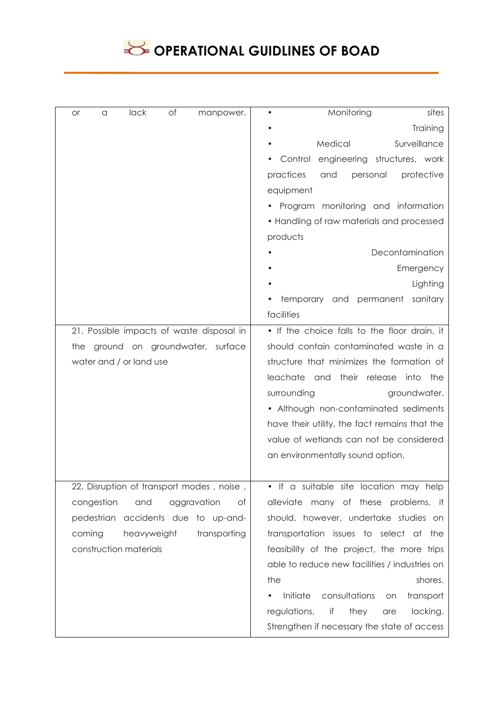

| of<br>lack<br>manpower.<br>or<br>a        | Monitoring<br>sites                           |
|-------------------------------------------|-----------------------------------------------|
|                                           | Training                                      |
|                                           | Surveillance<br>Medical                       |
|                                           | Control engineering structures, work          |
|                                           | practices<br>personal<br>protective<br>and    |
|                                           | equipment                                     |
|                                           | • Program monitoring and information          |
|                                           | • Handling of raw materials and processed     |
|                                           | products                                      |
|                                           | Decontamination                               |
|                                           | Emergency                                     |
|                                           | Lighting                                      |
|                                           | and permanent<br>sanitary<br>temporary        |
|                                           | facilities                                    |
| 21. Possible impacts of waste disposal in | • If the choice falls to the floor drain, it  |
| the ground on groundwater, surface        | should contain contaminated waste in a        |
| water and / or land use                   | structure that minimizes the formation of     |
|                                           | leachate and their release<br>into the        |
|                                           | surrounding<br>groundwater.                   |
|                                           | • Although non-contaminated sediments         |
|                                           | have their utility, the fact remains that the |
|                                           | value of wetlands can not be considered       |
|                                           | an environmentally sound option.              |
|                                           |                                               |
| 22. Disruption of transport modes, noise, | • If a suitable site location may help        |
| congestion<br>and<br>aggravation<br>of    | alleviate many of these problems, it          |
| pedestrian<br>accidents due to up-and-    | should, however, undertake studies on         |
| coming<br>heavyweight<br>transporting     | transportation issues to select at the        |
| construction materials                    | feasibility of the project, the more trips    |
|                                           | able to reduce new facilities / industries on |
|                                           | the<br>shores.                                |
|                                           | Initiate<br>consultations<br>transport<br>on  |
|                                           | regulations,<br>if<br>they<br>lacking.<br>are |
|                                           | Strengthen if necessary the state of access   |